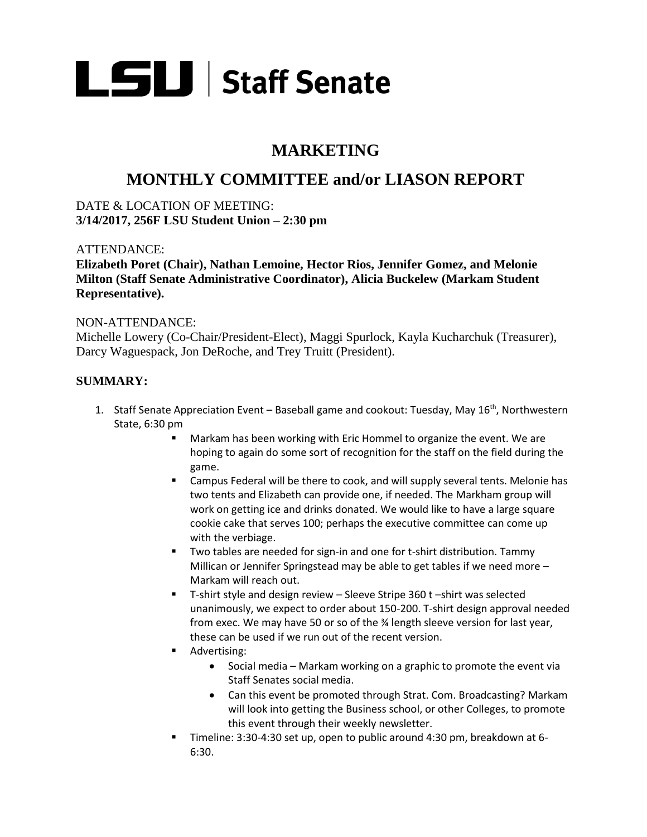

# **MARKETING**

# **MONTHLY COMMITTEE and/or LIASON REPORT**

DATE & LOCATION OF MEETING: **3/14/2017, 256F LSU Student Union – 2:30 pm** 

### ATTENDANCE:

**Elizabeth Poret (Chair), Nathan Lemoine, Hector Rios, Jennifer Gomez, and Melonie Milton (Staff Senate Administrative Coordinator), Alicia Buckelew (Markam Student Representative).**

### NON-ATTENDANCE:

Michelle Lowery (Co-Chair/President-Elect), Maggi Spurlock, Kayla Kucharchuk (Treasurer), Darcy Waguespack, Jon DeRoche, and Trey Truitt (President).

## **SUMMARY:**

- 1. Staff Senate Appreciation Event Baseball game and cookout: Tuesday, May 16<sup>th</sup>, Northwestern State, 6:30 pm
	- Markam has been working with Eric Hommel to organize the event. We are hoping to again do some sort of recognition for the staff on the field during the game.
	- Campus Federal will be there to cook, and will supply several tents. Melonie has two tents and Elizabeth can provide one, if needed. The Markham group will work on getting ice and drinks donated. We would like to have a large square cookie cake that serves 100; perhaps the executive committee can come up with the verbiage.
	- Two tables are needed for sign-in and one for t-shirt distribution. Tammy Millican or Jennifer Springstead may be able to get tables if we need more – Markam will reach out.
	- T-shirt style and design review Sleeve Stripe 360 t –shirt was selected unanimously, we expect to order about 150-200. T-shirt design approval needed from exec. We may have 50 or so of the 34 length sleeve version for last year, these can be used if we run out of the recent version.
	- Advertising:
		- Social media Markam working on a graphic to promote the event via Staff Senates social media.
		- Can this event be promoted through Strat. Com. Broadcasting? Markam will look into getting the Business school, or other Colleges, to promote this event through their weekly newsletter.
	- Timeline: 3:30-4:30 set up, open to public around 4:30 pm, breakdown at 6- 6:30.